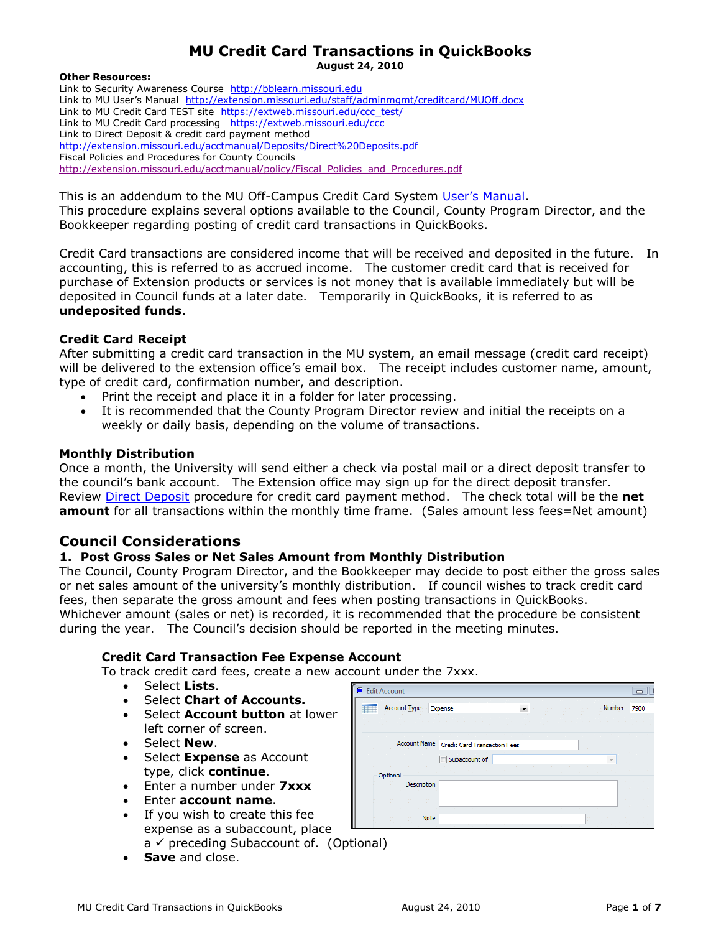#### **MU Credit Card Transactions in QuickBooks August 24, 2010**

#### **Other Resources:**

Link to Security Awareness Course [http://bblearn.missouri.edu](http://bblearn.missouri.edu/) Link to MU User's Manual <http://extension.missouri.edu/staff/adminmgmt/creditcard/MUOff.docx> Link to MU Credit Card TEST site [https://extweb.missouri.edu/ccc\\_test/](https://extweb.missouri.edu/ccc_test/) Link to MU Credit Card processing <https://extweb.missouri.edu/ccc> Link to Direct Deposit & credit card payment method <http://extension.missouri.edu/acctmanual/Deposits/Direct%20Deposits.pdf> Fiscal Policies and Procedures for County Councils [http://extension.missouri.edu/acctmanual/policy/Fiscal\\_Policies\\_and\\_Procedures.pdf](http://extension.missouri.edu/acctmanual/policy/Fiscal_Policies_and_Procedures.pdf)

This is an addendum to the MU Off-Campus Credit Card System [User's Manual](http://extension.missouri.edu/staff/adminmgmt/creditcard/MUOff.docx). This procedure explains several options available to the Council, County Program Director, and the Bookkeeper regarding posting of credit card transactions in QuickBooks.

Credit Card transactions are considered income that will be received and deposited in the future. In accounting, this is referred to as accrued income. The customer credit card that is received for purchase of Extension products or services is not money that is available immediately but will be deposited in Council funds at a later date. Temporarily in QuickBooks, it is referred to as **undeposited funds**.

#### **Credit Card Receipt**

After submitting a credit card transaction in the MU system, an email message (credit card receipt) will be delivered to the extension office's email box. The receipt includes customer name, amount, type of credit card, confirmation number, and description.

- Print the receipt and place it in a folder for later processing.
- It is recommended that the County Program Director review and initial the receipts on a weekly or daily basis, depending on the volume of transactions.

#### **Monthly Distribution**

Once a month, the University will send either a check via postal mail or a direct deposit transfer to the council's bank account. The Extension office may sign up for the direct deposit transfer. Review [Direct Deposit](http://extension.missouri.edu/acctmanual/Deposits/Direct%20Deposits.pdf) procedure for credit card payment method. The check total will be the **net amount** for all transactions within the monthly time frame. (Sales amount less fees=Net amount)

### **Council Considerations**

#### **1. Post Gross Sales or Net Sales Amount from Monthly Distribution**

The Council, County Program Director, and the Bookkeeper may decide to post either the gross sales or net sales amount of the university's monthly distribution. If council wishes to track credit card fees, then separate the gross amount and fees when posting transactions in QuickBooks. Whichever amount (sales or net) is recorded, it is recommended that the procedure be consistent during the year. The Council's decision should be reported in the meeting minutes.

#### **Credit Card Transaction Fee Expense Account**

To track credit card fees, create a new account under the 7xxx.

- Select **Lists**.
- Select **Chart of Accounts.**
- Select **Account button** at lower left corner of screen.
- Select **New**.
- Select **Expense** as Account type, click **continue**.
- Enter a number under **7xxx**
- Enter **account name**.
- If you wish to create this fee expense as a subaccount, place  $a \vee$  preceding Subaccount of. (Optional)
- **Save** and close.

| <b>Edit Account</b>                                                                                                                                        |                  |                                                 |
|------------------------------------------------------------------------------------------------------------------------------------------------------------|------------------|-------------------------------------------------|
| Account Type<br>Expense<br><b>Service</b>                                                                                                                  | Number           | 7900                                            |
|                                                                                                                                                            |                  |                                                 |
|                                                                                                                                                            |                  |                                                 |
| Account Name   Credit Card Transaction Fees                                                                                                                |                  |                                                 |
| Subaccount of<br><b>STAR</b><br><b>Contractor</b><br><b>Contract</b><br><b>Contract Contract</b><br><b>Contract Contract</b><br><b>COL</b><br><b>STATE</b> | $\sim$<br>- 1    |                                                 |
| Optional                                                                                                                                                   |                  |                                                 |
| Description                                                                                                                                                |                  |                                                 |
| . .<br><b>START</b>                                                                                                                                        |                  | <b>STATE</b>                                    |
| Note<br><b>Service</b>                                                                                                                                     | $\sim$<br>$\sim$ | <b>STAR</b><br><b>Section</b><br><b>Service</b> |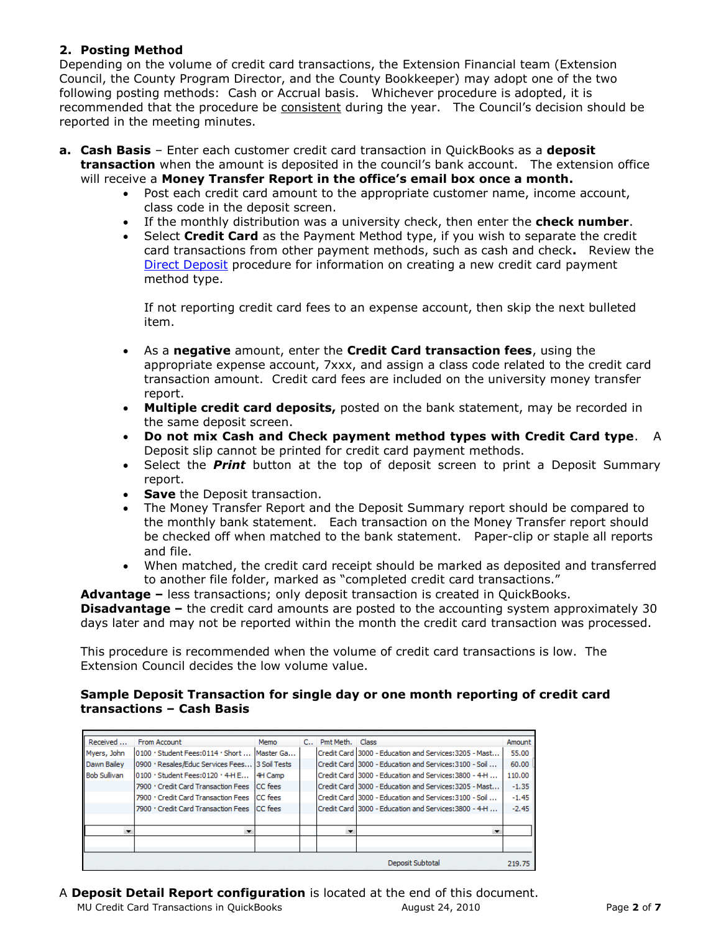### **2. Posting Method**

Depending on the volume of credit card transactions, the Extension Financial team (Extension Council, the County Program Director, and the County Bookkeeper) may adopt one of the two following posting methods: Cash or Accrual basis. Whichever procedure is adopted, it is recommended that the procedure be consistent during the year. The Council's decision should be reported in the meeting minutes.

- **a. Cash Basis** Enter each customer credit card transaction in QuickBooks as a **deposit transaction** when the amount is deposited in the council's bank account. The extension office will receive a **Money Transfer Report in the office's email box once a month.**
	- Post each credit card amount to the appropriate customer name, income account, class code in the deposit screen.
	- If the monthly distribution was a university check, then enter the **check number**.
	- Select **Credit Card** as the Payment Method type, if you wish to separate the credit card transactions from other payment methods, such as cash and check**.** Review the [Direct Deposit](http://extension.missouri.edu/acctmanual/Deposits/Direct%20Deposits.pdf#Customers) procedure for information on creating a new credit card payment method type.

If not reporting credit card fees to an expense account, then skip the next bulleted item.

- As a **negative** amount, enter the **Credit Card transaction fees**, using the appropriate expense account, 7xxx, and assign a class code related to the credit card transaction amount. Credit card fees are included on the university money transfer report.
- **Multiple credit card deposits,** posted on the bank statement, may be recorded in the same deposit screen.
- **Do not mix Cash and Check payment method types with Credit Card type**. A Deposit slip cannot be printed for credit card payment methods.
- Select the *Print* button at the top of deposit screen to print a Deposit Summary report.
- **Save the Deposit transaction.**
- The Money Transfer Report and the Deposit Summary report should be compared to the monthly bank statement. Each transaction on the Money Transfer report should be checked off when matched to the bank statement. Paper-clip or staple all reports and file.
- When matched, the credit card receipt should be marked as deposited and transferred to another file folder, marked as "completed credit card transactions."

**Advantage –** less transactions; only deposit transaction is created in QuickBooks. **Disadvantage –** the credit card amounts are posted to the accounting system approximately 30 days later and may not be reported within the month the credit card transaction was processed.

This procedure is recommended when the volume of credit card transactions is low. The Extension Council decides the low volume value.

#### **Sample Deposit Transaction for single day or one month reporting of credit card transactions – Cash Basis**

| Received            | From Account                                   | Memo           | $C_{++}$ | Pmt Meth. Class |                                                          | Amount  |
|---------------------|------------------------------------------------|----------------|----------|-----------------|----------------------------------------------------------|---------|
| Myers, John         | 0100 · Student Fees:0114 · Short               | Master Ga      |          |                 | Credit Card 3000 - Education and Services: 3205 - Mast   | 55.00   |
| Dawn Bailey         | 0900 · Resales/Educ Services Fees 3 Soil Tests |                |          |                 | ICredit Card 13000 - Education and Services: 3100 - Soil | 60.00   |
| <b>Bob Sullivan</b> | 0100 · Student Fees:0120 · 4-H E               | 14H Camp       |          |                 | Credit Card 3000 - Education and Services: 3800 - 4-H    | 110.00  |
|                     | 7900 · Credit Card Transaction Fees            | <b>CC</b> fees |          |                 | Credit Card   3000 - Education and Services: 3205 - Mast | $-1.35$ |
|                     | 7900 · Credit Card Transaction Fees ICC fees   |                |          |                 | l Credit Card 13000 - Education and Services:3100 - Soil | $-1.45$ |
|                     | 7900 · Credit Card Transaction Fees ICC fees   |                |          |                 | I Credit Card 13000 - Education and Services: 3800 - 4-H | $-2.45$ |
|                     |                                                |                |          |                 |                                                          |         |
|                     |                                                |                |          |                 |                                                          |         |
|                     |                                                |                |          |                 |                                                          |         |
|                     |                                                |                |          |                 |                                                          |         |
|                     |                                                |                |          |                 | Deposit Subtotal                                         | 219.75  |

A **Deposit Detail Report configuration** is located at the end of this document.

MU Credit Card Transactions in QuickBooks August 24, 2010 Page **2** of **7**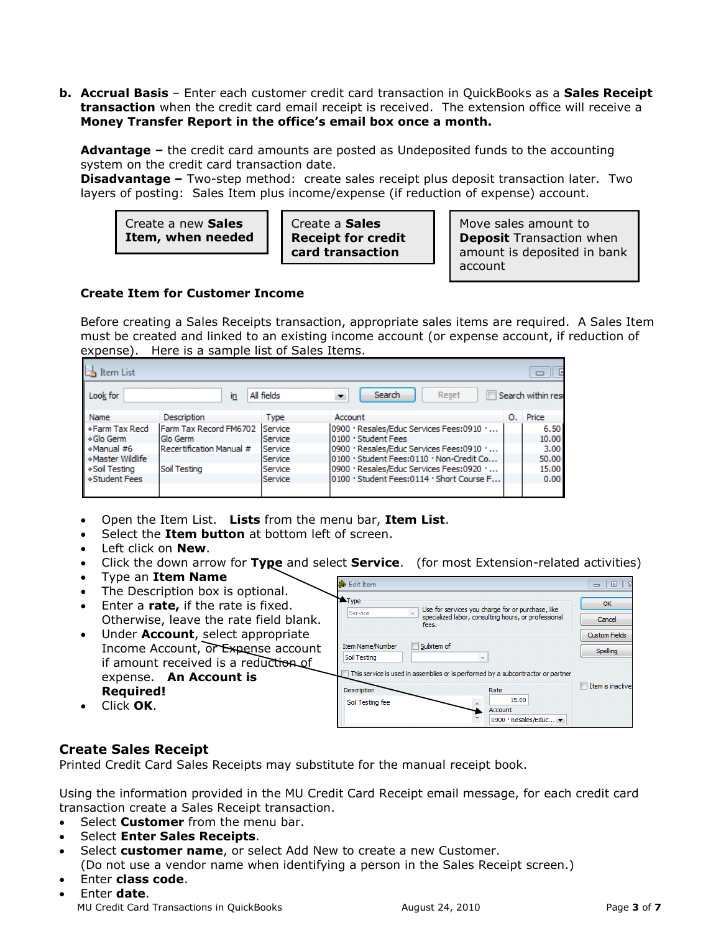**b. Accrual Basis** – Enter each customer credit card transaction in QuickBooks as a **Sales Receipt transaction** when the credit card email receipt is received. The extension office will receive a **Money Transfer Report in the office's email box once a month.**

**Advantage –** the credit card amounts are posted as Undeposited funds to the accounting system on the credit card transaction date.

**Disadvantage –** Two-step method: create sales receipt plus deposit transaction later. Two layers of posting: Sales Item plus income/expense (if reduction of expense) account.

| Create a new Sales |
|--------------------|
| Item, when needed  |

Create a **Sales Receipt for credit card transaction**

Move sales amount to **Deposit** Transaction when amount is deposited in bank account

#### **Create Item for Customer Income**

Before creating a Sales Receipts transaction, appropriate sales items are required. A Sales Item must be created and linked to an existing income account (or expense account, if reduction of expense). Here is a sample list of Sales Items.

| Item List        | $\equiv$                       |             |                                           |    |                    |  |  |  |  |  |  |  |
|------------------|--------------------------------|-------------|-------------------------------------------|----|--------------------|--|--|--|--|--|--|--|
| Look for         | in.                            | All fields  | Search<br>Reset                           |    | Search within resi |  |  |  |  |  |  |  |
| Name             | <b>Description</b>             | <b>Type</b> | Account                                   | О. | Price              |  |  |  |  |  |  |  |
| ◆ Farm Tax Recd  | Farm Tax Record FM6702 Service |             | 0900 · Resales/Educ Services Fees:0910 ·  |    | 6.50               |  |  |  |  |  |  |  |
| ◈ Glo Germ       | Glo Germ                       | Service     | 0100 · Student Fees                       |    | 10.00              |  |  |  |  |  |  |  |
| «Manual #6       | Recertification Manual #       | Service     | 0900 · Resales/Educ Services Fees:0910 ·  |    | 3.00               |  |  |  |  |  |  |  |
| «Master Wildlife |                                | Service     | 0100 · Student Fees:0110 · Non-Credit Co  |    | 50.00              |  |  |  |  |  |  |  |
| ◈ Soil Testing   | Soil Testing                   | Service     | 0900 · Resales/Educ Services Fees:0920 ·  |    | 15.00              |  |  |  |  |  |  |  |
| ◇ Student Fees   |                                | Service     | 0100 · Student Fees:0114 · Short Course F |    | 0.00 <sub>1</sub>  |  |  |  |  |  |  |  |
|                  |                                |             |                                           |    |                    |  |  |  |  |  |  |  |

- Open the Item List. **Lists** from the menu bar, **Item List**.
- Select the **Item button** at bottom left of screen.
- Left click on **New**.
- Click the down arrow for **Type** and select **Service**. (for most Extension-related activities)
- Type an **Item Name**
- The Description box is optional. Enter a **rate,** if the rate is fixed.
- Otherwise, leave the rate field blank.
- Under **Account**, select appropriate Income Account, or Expense account if amount received is a reduction of expense. **An Account is Required!**
- Click **OK**.



### **Create Sales Receipt**

Printed Credit Card Sales Receipts may substitute for the manual receipt book.

Using the information provided in the MU Credit Card Receipt email message, for each credit card transaction create a Sales Receipt transaction.

- Select **Customer** from the menu bar.
- Select **Enter Sales Receipts**.
- Select **customer name**, or select Add New to create a new Customer.

(Do not use a vendor name when identifying a person in the Sales Receipt screen.) Enter **class code**.

MU Credit Card Transactions in QuickBooks August 24, 2010 Page **3** of **7** Enter **date**.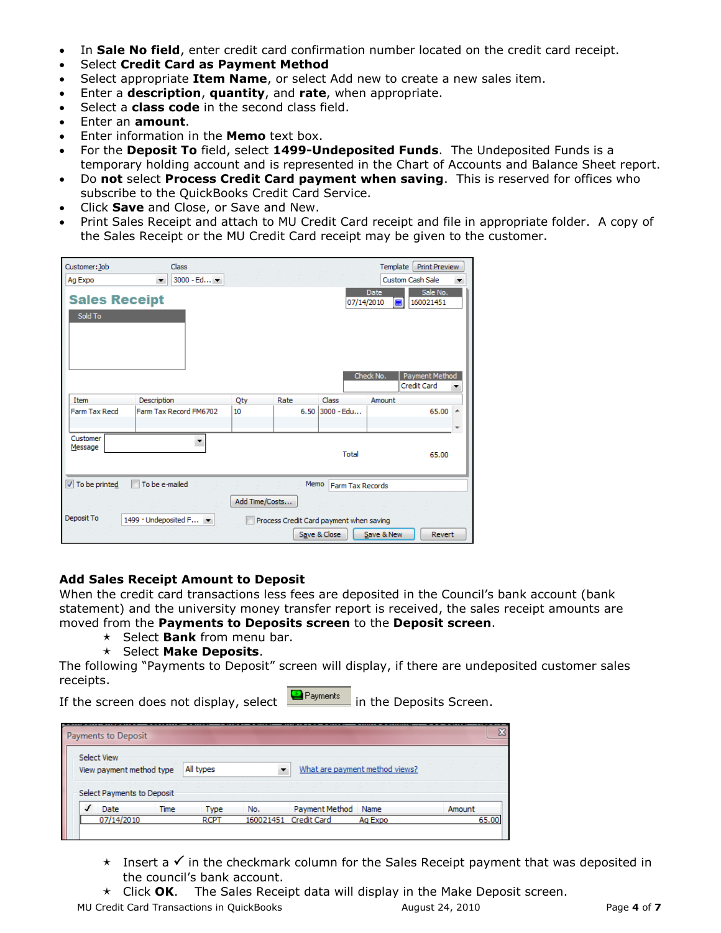- In **Sale No field**, enter credit card confirmation number located on the credit card receipt.
- Select **Credit Card as Payment Method**
- Select appropriate **Item Name**, or select Add new to create a new sales item.
- Enter a **description**, **quantity**, and **rate**, when appropriate.
- Select a **class code** in the second class field.
- Enter an **amount**.
- Enter information in the **Memo** text box.
- For the **Deposit To** field, select **1499-Undeposited Funds**. The Undeposited Funds is a temporary holding account and is represented in the Chart of Accounts and Balance Sheet report.
- Do **not** select **Process Credit Card payment when saving**. This is reserved for offices who subscribe to the QuickBooks Credit Card Service.
- Click **Save** and Close, or Save and New.
- Print Sales Receipt and attach to MU Credit Card receipt and file in appropriate folder. A copy of the Sales Receipt or the MU Credit Card receipt may be given to the customer.

| Customer: Job<br>Class<br>Ag Expo<br>$\overline{\phantom{a}}$ | 3000 - Ed <b>+</b>                                                                |      |                         | Template<br><b>Custom Cash Sale</b> | <b>Print Preview</b>                    | ▼ |  |  |  |  |  |
|---------------------------------------------------------------|-----------------------------------------------------------------------------------|------|-------------------------|-------------------------------------|-----------------------------------------|---|--|--|--|--|--|
| <b>Sales Receipt</b><br>Sold To                               |                                                                                   |      | 07/14/2010              | Date<br>扁<br>Check No.              | Sale No.<br>160021451<br>Payment Method |   |  |  |  |  |  |
| Description<br>Item                                           | Qty                                                                               | Rate | Class                   | Amount                              | <b>Credit Card</b>                      |   |  |  |  |  |  |
| Farm Tax Recd<br>Farm Tax Record FM6702                       | 10                                                                                |      | $6.50$ 3000 - Edu       |                                     | 65.00                                   | ۸ |  |  |  |  |  |
| Customer<br>Message                                           |                                                                                   |      | Total                   |                                     | 65.00                                   |   |  |  |  |  |  |
| <b>V</b> To be printed<br>To be e-mailed                      |                                                                                   | Memo | <b>Farm Tax Records</b> |                                     |                                         |   |  |  |  |  |  |
| Deposit To                                                    | Add Time/Costs<br>1499 · Undeposited F<br>Process Credit Card payment when saving |      |                         |                                     |                                         |   |  |  |  |  |  |

#### **Add Sales Receipt Amount to Deposit**

When the credit card transactions less fees are deposited in the Council's bank account (bank statement) and the university money transfer report is received, the sales receipt amounts are moved from the **Payments to Deposits screen** to the **Deposit screen**.

- $\star$  Select **Bank** from menu bar.
- Select **Make Deposits**.

The following "Payments to Deposit" screen will display, if there are undeposited customer sales receipts.

If the screen does not display, select  $\Box$  Payments in the Deposits Screen.

|   | Payments to Deposit                     |                                   |             |           |                    |                                |        |       |
|---|-----------------------------------------|-----------------------------------|-------------|-----------|--------------------|--------------------------------|--------|-------|
|   | Select View<br>View payment method type | <b>Contract Contract Contract</b> | All types   |           |                    | What are payment method views? |        |       |
|   | Select Payments to Deposit              |                                   |             |           |                    |                                |        |       |
| √ | Date                                    | Time                              | <b>Type</b> | No.       | Payment Method     | Name                           | Amount |       |
|   | 07/14/2010                              |                                   | <b>RCPT</b> | 160021451 | <b>Credit Card</b> | Ag Expo                        |        | 65.00 |

- $\star$  Insert a  $\checkmark$  in the checkmark column for the Sales Receipt payment that was deposited in the council's bank account.
- Click **OK**. The Sales Receipt data will display in the Make Deposit screen.

MU Credit Card Transactions in QuickBooks August 24, 2010 Page **4** of **7**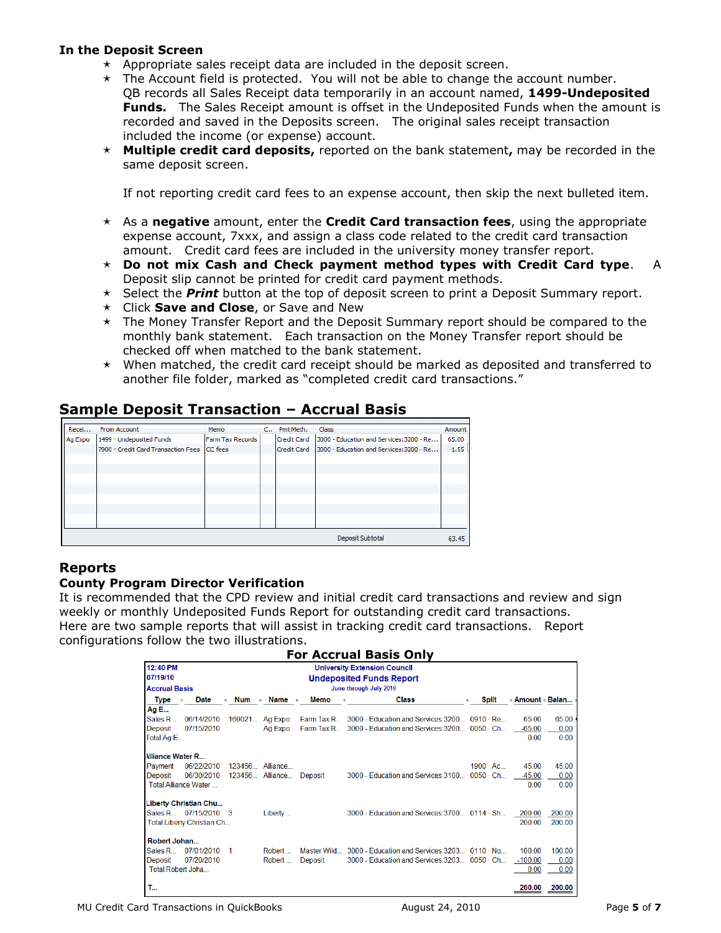#### **In the Deposit Screen**

- $\star$  Appropriate sales receipt data are included in the deposit screen.
- $\star$  The Account field is protected. You will not be able to change the account number. QB records all Sales Receipt data temporarily in an account named, **1499-Undeposited Funds.** The Sales Receipt amount is offset in the Undeposited Funds when the amount is recorded and saved in the Deposits screen. The original sales receipt transaction included the income (or expense) account.
- **Multiple credit card deposits,** reported on the bank statement**,** may be recorded in the same deposit screen.

If not reporting credit card fees to an expense account, then skip the next bulleted item.

- As a **negative** amount, enter the **Credit Card transaction fees**, using the appropriate expense account, 7xxx, and assign a class code related to the credit card transaction amount. Credit card fees are included in the university money transfer report.
- **Do not mix Cash and Check payment method types with Credit Card type**. A Deposit slip cannot be printed for credit card payment methods.
- Select the *Print* button at the top of deposit screen to print a Deposit Summary report.
- Click **Save and Close**, or Save and New
- $\star$  The Money Transfer Report and the Deposit Summary report should be compared to the monthly bank statement. Each transaction on the Money Transfer report should be checked off when matched to the bank statement.
- $\star$  When matched, the credit card receipt should be marked as deposited and transferred to another file folder, marked as "completed credit card transactions."

# **Sample Deposit Transaction – Accrual Basis**

| Recei   | From Account                        | Memo             |  | C., Pmt Meth.      | Class                                    | Amount  |  |  |  |  |  |  |
|---------|-------------------------------------|------------------|--|--------------------|------------------------------------------|---------|--|--|--|--|--|--|
| Ag Expo | 1499 · Undeposited Funds            | Farm Tax Records |  | <b>Credit Card</b> | 3000 - Education and Services: 3200 - Re | 65.00   |  |  |  |  |  |  |
|         | 7900 · Credit Card Transaction Fees | <b>CC</b> fees   |  | Credit Card        | 3000 - Education and Services: 3200 - Re | $-1.55$ |  |  |  |  |  |  |
|         |                                     |                  |  |                    |                                          |         |  |  |  |  |  |  |
|         |                                     |                  |  |                    |                                          |         |  |  |  |  |  |  |
|         |                                     |                  |  |                    |                                          |         |  |  |  |  |  |  |
|         |                                     |                  |  |                    |                                          |         |  |  |  |  |  |  |
|         |                                     |                  |  |                    |                                          |         |  |  |  |  |  |  |
|         |                                     |                  |  |                    |                                          |         |  |  |  |  |  |  |
|         |                                     |                  |  |                    |                                          |         |  |  |  |  |  |  |
|         |                                     |                  |  |                    |                                          |         |  |  |  |  |  |  |
|         |                                     |                  |  |                    | Deposit Subtotal                         | 63.45   |  |  |  |  |  |  |

### **Reports**

### **County Program Director Verification**

It is recommended that the CPD review and initial credit card transactions and review and sign weekly or monthly Undeposited Funds Report for outstanding credit card transactions. Here are two sample reports that will assist in tracking credit card transactions. Report configurations follow the two illustrations.

|                                             | <b>For Accrual Basis Only</b>                     |                 |                             |                   |                                                         |                        |                  |        |  |  |  |  |  |
|---------------------------------------------|---------------------------------------------------|-----------------|-----------------------------|-------------------|---------------------------------------------------------|------------------------|------------------|--------|--|--|--|--|--|
| 12:40 PM                                    |                                                   |                 |                             |                   | <b>University Extension Council</b>                     |                        |                  |        |  |  |  |  |  |
| 07/19/10<br><b>Undeposited Funds Report</b> |                                                   |                 |                             |                   |                                                         |                        |                  |        |  |  |  |  |  |
|                                             | June through July 2010<br>Accrual Basis           |                 |                             |                   |                                                         |                        |                  |        |  |  |  |  |  |
| <b>Type</b>                                 | <b>Date</b><br>$\ddot{\bullet}$<br>$\ddot{\circ}$ | <b>Num</b>      | $\bullet$ Name<br>$\bullet$ | <b>Memo</b><br>ó. | <b>Class</b>                                            | <b>Split</b>           | ◈ Amount ◈ Balan |        |  |  |  |  |  |
| Ag E                                        |                                                   |                 |                             |                   |                                                         |                        |                  |        |  |  |  |  |  |
| Sales R                                     | 06/14/2010                                        | 160021          | Ag Expo                     | Farm Tax R        | 3000 - Education and Services: 3200                     | $0910 \cdot \text{Re}$ | 65.00            | 65.00  |  |  |  |  |  |
| Deposit                                     | 07/15/2010                                        |                 | Ag Expo                     | Farm Tax R        | 3000 - Education and Services: 3200                     | $0050 \cdot Ch$        | $-65.00$         | 0.00   |  |  |  |  |  |
| Total Ag E                                  |                                                   |                 |                             |                   |                                                         |                        | 0.00             | 0.00   |  |  |  |  |  |
| <b>Miliance Water R</b>                     |                                                   |                 |                             |                   |                                                         |                        |                  |        |  |  |  |  |  |
| Payment                                     | 06/22/2010                                        | 123456 Alliance |                             |                   |                                                         | $1900 \cdot AC$        | 45.00            | 45.00  |  |  |  |  |  |
| Deposit                                     | 06/30/2010                                        |                 | 123456 Alliance             | <b>Deposit</b>    | 3000 - Education and Services: 3100                     | $0050 \cdot Ch$        | $-45.00$         | 0.00   |  |  |  |  |  |
|                                             | <b>Total Alliance Water</b>                       |                 |                             |                   |                                                         |                        | 0.00             | 0.00   |  |  |  |  |  |
|                                             | Liberty Christian Chu                             |                 |                             |                   |                                                         |                        |                  |        |  |  |  |  |  |
|                                             | Sales R 07/15/2010 3                              |                 | Liberty                     |                   | $3000$ - Education and Services: $3700$ 0114 $\cdot$ Sh |                        | 200.00           | 200.00 |  |  |  |  |  |
|                                             | Total Liberty Christian Ch                        |                 |                             |                   |                                                         |                        | 200.00           | 200.00 |  |  |  |  |  |
| Robert Johan                                |                                                   |                 |                             |                   |                                                         |                        |                  |        |  |  |  |  |  |
| Sales R…                                    | 07/01/2010                                        | 1               | Robert                      | Master Wild       | 3000 - Education and Services: 3203                     | $0110 \cdot$ No        | 100.00           | 100.00 |  |  |  |  |  |
| Deposit                                     | 07/20/2010                                        |                 | Robert                      | <b>Deposit</b>    | 3000 - Education and Services: 3203                     | $0050 \cdot Ch$        | $-100.00$        | 0.00   |  |  |  |  |  |
| Total Robert Joha                           |                                                   |                 |                             |                   |                                                         |                        | 0.00             | 0.00   |  |  |  |  |  |
| т.,                                         |                                                   |                 |                             |                   |                                                         |                        | 200.00           | 200.00 |  |  |  |  |  |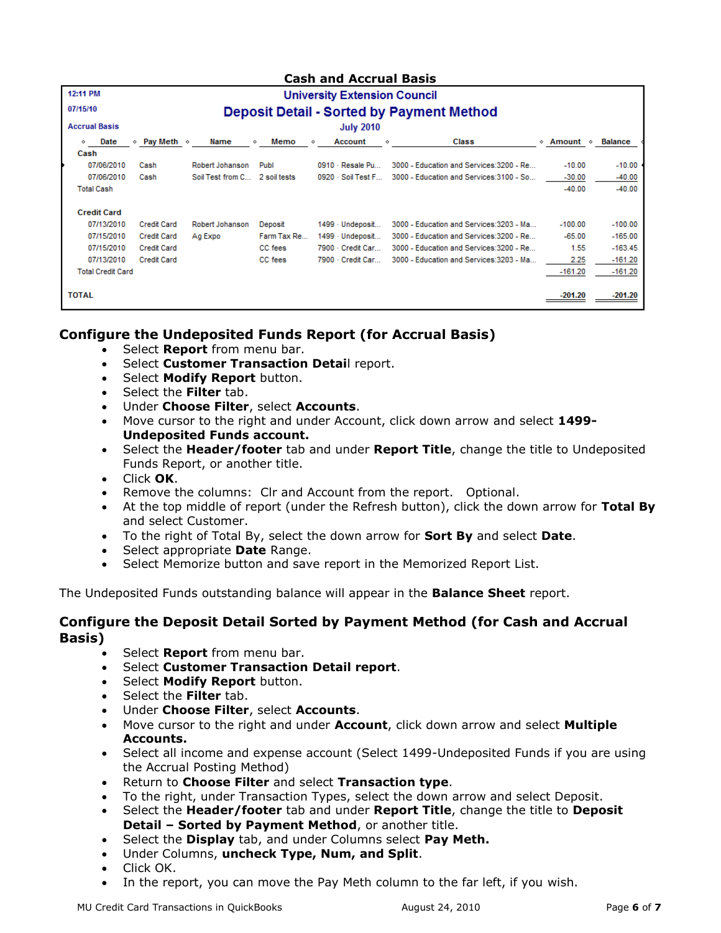### **Cash and Accrual Basis**

| 12:11 PM                 |                                                  |                  |              | <b>University Extension Council</b> |                                          |               |                |  |  |  |  |
|--------------------------|--------------------------------------------------|------------------|--------------|-------------------------------------|------------------------------------------|---------------|----------------|--|--|--|--|
| 07/15/10                 | <b>Deposit Detail - Sorted by Payment Method</b> |                  |              |                                     |                                          |               |                |  |  |  |  |
| <b>Accrual Basis</b>     |                                                  |                  |              | <b>July 2010</b>                    |                                          |               |                |  |  |  |  |
| Date<br>◇                | Pay Meth $\Diamond$<br>♦                         | Name             | Memo<br>♦    | <b>Account</b><br>⋄                 | <b>Class</b><br>◇                        | ◈ Amount<br>◈ | <b>Balance</b> |  |  |  |  |
| Cash                     |                                                  |                  |              |                                     |                                          |               |                |  |  |  |  |
| 07/06/2010               | Cash                                             | Robert Johanson  | Publ         | 0910 - Resale Pu                    | 3000 - Education and Services: 3200 - Re | $-10.00$      | $-10.00$       |  |  |  |  |
| 07/06/2010               | Cash                                             | Soil Test from C | 2 soil tests | 0920 · Soil Test F                  | 3000 - Education and Services: 3100 - So | $-30.00$      | $-40.00$       |  |  |  |  |
| <b>Total Cash</b>        |                                                  |                  |              |                                     |                                          | $-40.00$      | $-40.00$       |  |  |  |  |
| <b>Credit Card</b>       |                                                  |                  |              |                                     |                                          |               |                |  |  |  |  |
| 07/13/2010               | <b>Credit Card</b>                               | Robert Johanson  | Deposit      | 1499 - Undeposit                    | 3000 - Education and Services: 3203 - Ma | $-100.00$     | $-100.00$      |  |  |  |  |
| 07/15/2010               | <b>Credit Card</b>                               | Ag Expo          | Farm Tax Re  | 1499 - Undeposit                    | 3000 - Education and Services:3200 - Re  | $-65.00$      | $-165.00$      |  |  |  |  |
| 07/15/2010               | <b>Credit Card</b>                               |                  | CC fees      | 7900 - Credit Car                   | 3000 - Education and Services: 3200 - Re | 1.55          | $-163.45$      |  |  |  |  |
| 07/13/2010               | <b>Credit Card</b>                               |                  | CC fees      | 7900 - Credit Car                   | 3000 - Education and Services: 3203 - Ma | 2.25          | $-161.20$      |  |  |  |  |
| <b>Total Credit Card</b> |                                                  |                  |              |                                     |                                          | $-161.20$     | $-161.20$      |  |  |  |  |
| <b>TOTAL</b>             |                                                  |                  |              |                                     |                                          | -201.20       | $-201.20$      |  |  |  |  |

## **Configure the Undeposited Funds Report (for Accrual Basis)**

- Select **Report** from menu bar.
- Select **Customer Transaction Detai**l report.
- Select **Modify Report** button.
- Select the **Filter** tab.
- Under **Choose Filter**, select **Accounts**.
- Move cursor to the right and under Account, click down arrow and select **1499- Undeposited Funds account.**
- Select the **Header/footer** tab and under **Report Title**, change the title to Undeposited Funds Report, or another title.
- Click **OK**.
- Remove the columns: Clr and Account from the report. Optional.
- At the top middle of report (under the Refresh button), click the down arrow for **Total By** and select Customer.
- To the right of Total By, select the down arrow for **Sort By** and select **Date**.
- **Select appropriate Date Range.**
- Select Memorize button and save report in the Memorized Report List.

The Undeposited Funds outstanding balance will appear in the **Balance Sheet** report.

### **Configure the Deposit Detail Sorted by Payment Method (for Cash and Accrual Basis)**

- Select **Report** from menu bar.
- Select **Customer Transaction Detail report**.
- Select **Modify Report** button.
- Select the **Filter** tab.
- Under **Choose Filter**, select **Accounts**.
- Move cursor to the right and under **Account**, click down arrow and select **Multiple Accounts.**
- Select all income and expense account (Select 1499-Undeposited Funds if you are using the Accrual Posting Method)
- Return to **Choose Filter** and select **Transaction type**.
- To the right, under Transaction Types, select the down arrow and select Deposit.
- Select the **Header/footer** tab and under **Report Title**, change the title to **Deposit Detail – Sorted by Payment Method**, or another title.
- Select the **Display** tab, and under Columns select **Pay Meth.**
- Under Columns, **uncheck Type, Num, and Split**.
- Click OK.
- In the report, you can move the Pay Meth column to the far left, if you wish.